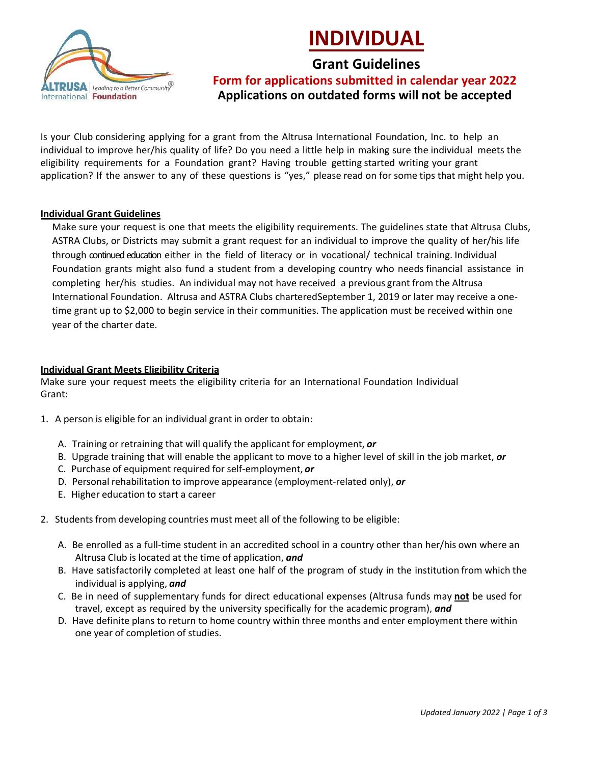



# **Grant Guidelines**

**Form for applications submitted in calendar year 2022 Applications on outdated forms will not be accepted**

Is your Club considering applying for a grant from the Altrusa International Foundation, Inc. to help an individual to improve her/his quality of life? Do you need a little help in making sure the individual meets the eligibility requirements for a Foundation grant? Having trouble getting started writing your grant application? If the answer to any of these questions is "yes," please read on for some tips that might help you.

### **Individual Grant Guidelines**

Make sure your request is one that meets the eligibility requirements. The guidelines state that Altrusa Clubs, ASTRA Clubs, or Districts may submit a grant request for an individual to improve the quality of her/his life through continued education either in the field of literacy or in vocational/ technical training. Individual Foundation grants might also fund a student from a developing country who needs financial assistance in completing her/his studies. An individual may not have received a previous grant from the Altrusa International Foundation. Altrusa and ASTRA Clubs charteredSeptember 1, 2019 or later may receive a onetime grant up to \$2,000 to begin service in their communities. The application must be received within one year of the charter date.

## **Individual Grant Meets Eligibility Criteria**

Make sure your request meets the eligibility criteria for an International Foundation Individual Grant:

- 1. A person is eligible for an individual grant in order to obtain:
	- A. Training or retraining that will qualify the applicant for employment, *or*
	- B. Upgrade training that will enable the applicant to move to a higher level of skill in the job market, *or*
	- C. Purchase of equipment required for self-employment, *or*
	- D. Personal rehabilitation to improve appearance (employment-related only), *or*
	- E. Higher education to start a career
- 2. Students from developing countries must meet all of the following to be eligible:
	- A. Be enrolled as a full-time student in an accredited school in a country other than her/his own where an Altrusa Club is located at the time of application, *and*
	- B. Have satisfactorily completed at least one half of the program of study in the institution from which the individual is applying, *and*
	- C. Be in need of supplementary funds for direct educational expenses (Altrusa funds may **not** be used for travel, except as required by the university specifically for the academic program), *and*
	- D. Have definite plans to return to home country within three months and enter employment there within one year of completion of studies.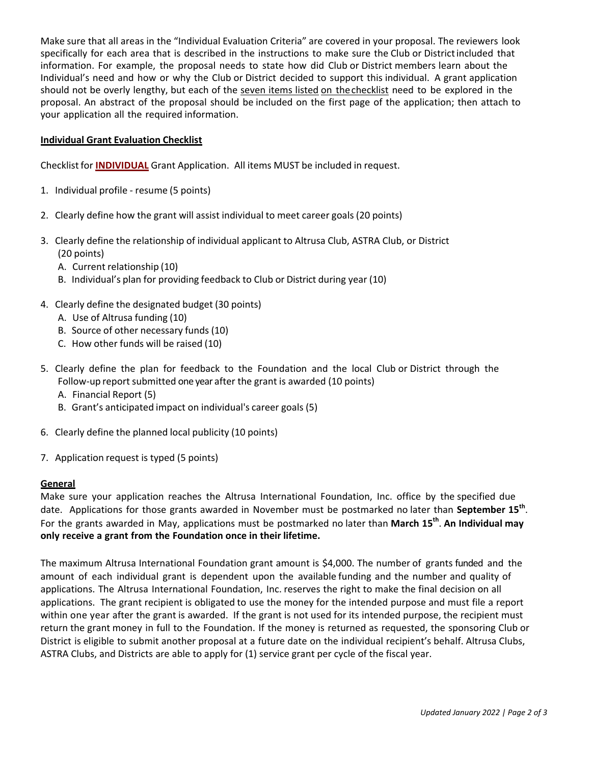Make sure that all areas in the "Individual Evaluation Criteria" are covered in your proposal. The reviewers look specifically for each area that is described in the instructions to make sure the Club or Districtincluded that information. For example, the proposal needs to state how did Club or District members learn about the Individual's need and how or why the Club or District decided to support this individual. A grant application should not be overly lengthy, but each of the seven items listed on thechecklist need to be explored in the proposal. An abstract of the proposal should be included on the first page of the application; then attach to your application all the required information.

## **Individual Grant Evaluation Checklist**

Checklist for **INDIVIDUAL** Grant Application. All items MUST be included in request.

- 1. Individual profile resume (5 points)
- 2. Clearly define how the grant will assist individual to meet career goals (20 points)
- 3. Clearly define the relationship of individual applicant to Altrusa Club, ASTRA Club, or District (20 points)
	- A. Current relationship (10)
	- B. Individual's plan for providing feedback to Club or District during year (10)
- 4. Clearly define the designated budget (30 points)
	- A. Use of Altrusa funding (10)
	- B. Source of other necessary funds (10)
	- C. How other funds will be raised (10)
- 5. Clearly define the plan for feedback to the Foundation and the local Club or District through the Follow-up report submitted one year after the grant is awarded (10 points) A. Financial Report (5)
	- B. Grant's anticipated impact on individual's career goals (5)
- 6. Clearly define the planned local publicity (10 points)
- 7. Application request is typed (5 points)

## **General**

Make sure your application reaches the Altrusa International Foundation, Inc. office by the specified due date. Applications for those grants awarded in November must be postmarked no later than September 15<sup>th</sup>. For the grants awarded in May, applications must be postmarked no later than **March 15th** . **An Individual may only receive a grant from the Foundation once in their lifetime.**

The maximum Altrusa International Foundation grant amount is \$4,000. The number of grants funded and the amount of each individual grant is dependent upon the available funding and the number and quality of applications. The Altrusa International Foundation, Inc. reserves the right to make the final decision on all applications. The grant recipient is obligated to use the money for the intended purpose and must file a report within one year after the grant is awarded. If the grant is not used for its intended purpose, the recipient must return the grant money in full to the Foundation. If the money is returned as requested, the sponsoring Club or District is eligible to submit another proposal at a future date on the individual recipient's behalf. Altrusa Clubs, ASTRA Clubs, and Districts are able to apply for (1) service grant per cycle of the fiscal year.